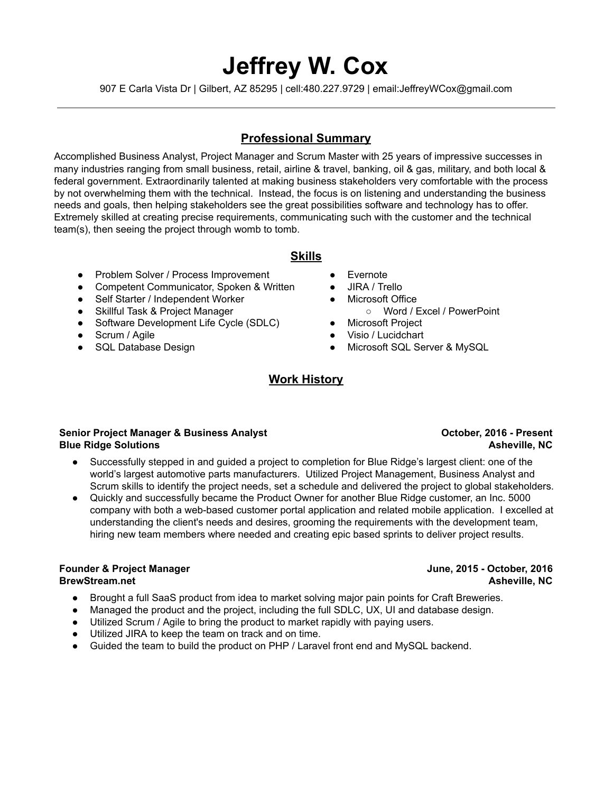# Jeffrey W. Cox

907 E Carla Vista Dr | Gilbert, AZ 85295 | cell:480.227.9729 | email:JeffreyWCox@gmail.com

# Professional Summary

Accomplished Business Analyst, Project Manager and Scrum Master with 25 years of impressive successes in many industries ranging from small business, retail, airline & travel, banking, oil & gas, military, and both local & federal government. Extraordinarily talented at making business stakeholders very comfortable with the process by not overwhelming them with the technical. Instead, the focus is on listening and understanding the business needs and goals, then helping stakeholders see the great possibilities software and technology has to offer. Extremely skilled at creating precise requirements, communicating such with the customer and the technical team(s), then seeing the project through womb to tomb.

### Skills

- Problem Solver / Process Improvement
- Competent Communicator, Spoken & Written
- Self Starter / Independent Worker
- Skillful Task & Project Manager
- Software Development Life Cycle (SDLC)
- Scrum / Agile
- SQL Database Design
- Evernote
- JIRA / Trello
- Microsoft Office
	- Word / Excel / PowerPoint
- Microsoft Project
- Visio / Lucidchart
- Microsoft SQL Server & MySQL

# Work History

### Senior Project Manager & Business Analyst Blue Ridge Solutions

- Successfully stepped in and guided a project to completion for Blue Ridge's largest client: one of the world's largest automotive parts manufacturers. Utilized Project Management, Business Analyst and Scrum skills to identify the project needs, set a schedule and delivered the project to global stakeholders.
- Quickly and successfully became the Product Owner for another Blue Ridge customer, an Inc. 5000 company with both a web-based customer portal application and related mobile application. I excelled at understanding the client's needs and desires, grooming the requirements with the development team, hiring new team members where needed and creating epic based sprints to deliver project results.

#### Founder & Project Manager BrewStream.net

- Brought a full SaaS product from idea to market solving major pain points for Craft Breweries.
- Managed the product and the project, including the full SDLC, UX, UI and database design.
- Utilized Scrum / Agile to bring the product to market rapidly with paying users.
- Utilized JIRA to keep the team on track and on time.
- Guided the team to build the product on PHP / Laravel front end and MySQL backend.

### October, 2016 - Present Asheville, NC

### June, 2015 - October, 2016 Asheville, NC